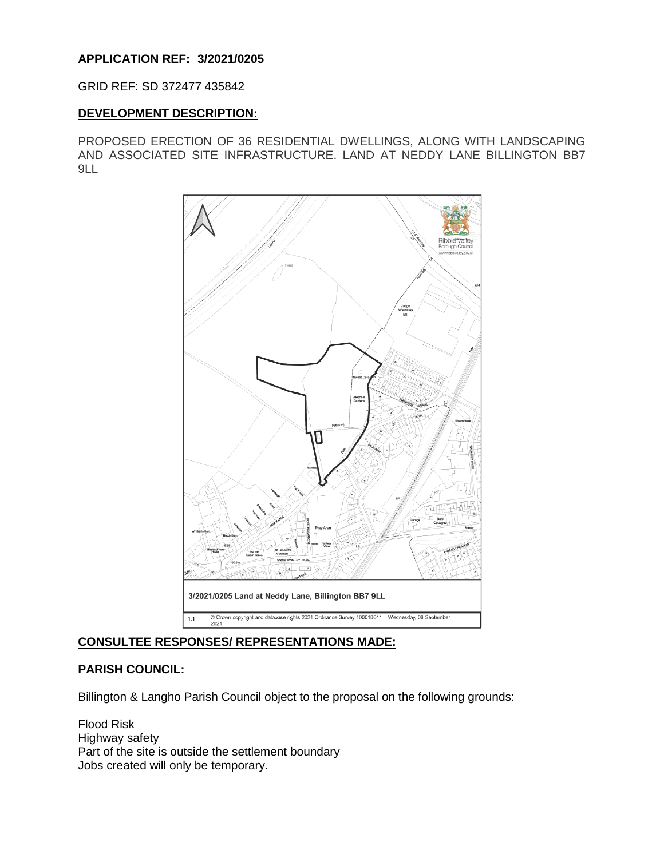# **APPLICATION REF: 3/2021/0205**

### GRID REF: SD 372477 435842

## **DEVELOPMENT DESCRIPTION:**

PROPOSED ERECTION OF 36 RESIDENTIAL DWELLINGS, ALONG WITH LANDSCAPING AND ASSOCIATED SITE INFRASTRUCTURE. LAND AT NEDDY LANE BILLINGTON BB7 9LL



# **CONSULTEE RESPONSES/ REPRESENTATIONS MADE:**

## **PARISH COUNCIL:**

Billington & Langho Parish Council object to the proposal on the following grounds:

Flood Risk Highway safety Part of the site is outside the settlement boundary Jobs created will only be temporary.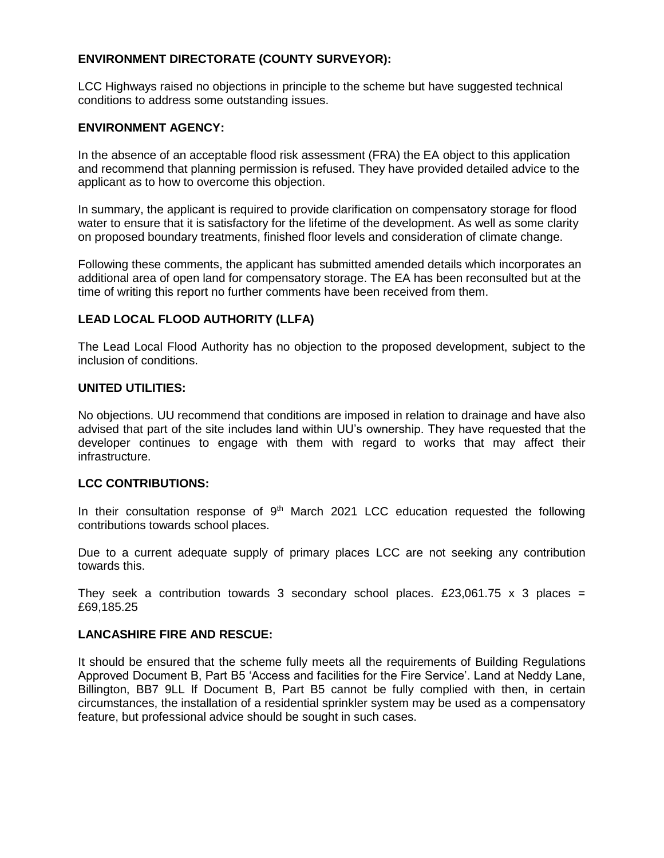# **ENVIRONMENT DIRECTORATE (COUNTY SURVEYOR):**

LCC Highways raised no objections in principle to the scheme but have suggested technical conditions to address some outstanding issues.

## **ENVIRONMENT AGENCY:**

In the absence of an acceptable flood risk assessment (FRA) the EA object to this application and recommend that planning permission is refused. They have provided detailed advice to the applicant as to how to overcome this objection.

In summary, the applicant is required to provide clarification on compensatory storage for flood water to ensure that it is satisfactory for the lifetime of the development. As well as some clarity on proposed boundary treatments, finished floor levels and consideration of climate change.

Following these comments, the applicant has submitted amended details which incorporates an additional area of open land for compensatory storage. The EA has been reconsulted but at the time of writing this report no further comments have been received from them.

# **LEAD LOCAL FLOOD AUTHORITY (LLFA)**

The Lead Local Flood Authority has no objection to the proposed development, subject to the inclusion of conditions.

## **UNITED UTILITIES:**

No objections. UU recommend that conditions are imposed in relation to drainage and have also advised that part of the site includes land within UU's ownership. They have requested that the developer continues to engage with them with regard to works that may affect their infrastructure.

### **LCC CONTRIBUTIONS:**

In their consultation response of  $9<sup>th</sup>$  March 2021 LCC education requested the following contributions towards school places.

Due to a current adequate supply of primary places LCC are not seeking any contribution towards this.

They seek a contribution towards 3 secondary school places. £23,061.75 x 3 places = £69,185.25

# **LANCASHIRE FIRE AND RESCUE:**

It should be ensured that the scheme fully meets all the requirements of Building Regulations Approved Document B, Part B5 'Access and facilities for the Fire Service'. Land at Neddy Lane, Billington, BB7 9LL If Document B, Part B5 cannot be fully complied with then, in certain circumstances, the installation of a residential sprinkler system may be used as a compensatory feature, but professional advice should be sought in such cases.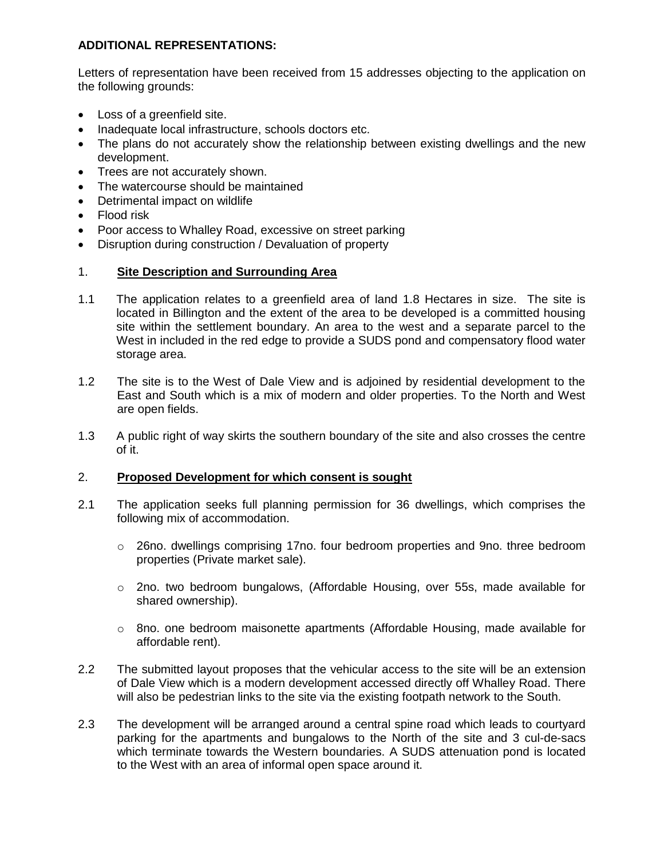# **ADDITIONAL REPRESENTATIONS:**

Letters of representation have been received from 15 addresses objecting to the application on the following grounds:

- Loss of a greenfield site.
- Inadequate local infrastructure, schools doctors etc.
- The plans do not accurately show the relationship between existing dwellings and the new development.
- Trees are not accurately shown.
- The watercourse should be maintained
- Detrimental impact on wildlife
- Flood risk
- Poor access to Whalley Road, excessive on street parking
- Disruption during construction / Devaluation of property

# 1. **Site Description and Surrounding Area**

- 1.1 The application relates to a greenfield area of land 1.8 Hectares in size. The site is located in Billington and the extent of the area to be developed is a committed housing site within the settlement boundary. An area to the west and a separate parcel to the West in included in the red edge to provide a SUDS pond and compensatory flood water storage area.
- 1.2 The site is to the West of Dale View and is adjoined by residential development to the East and South which is a mix of modern and older properties. To the North and West are open fields.
- 1.3 A public right of way skirts the southern boundary of the site and also crosses the centre of it.

# 2. **Proposed Development for which consent is sought**

- 2.1 The application seeks full planning permission for 36 dwellings, which comprises the following mix of accommodation.
	- $\circ$  26no. dwellings comprising 17no. four bedroom properties and 9no. three bedroom properties (Private market sale).
	- $\circ$  2no. two bedroom bungalows, (Affordable Housing, over 55s, made available for shared ownership).
	- $\circ$  8no. one bedroom maisonette apartments (Affordable Housing, made available for affordable rent).
- 2.2 The submitted layout proposes that the vehicular access to the site will be an extension of Dale View which is a modern development accessed directly off Whalley Road. There will also be pedestrian links to the site via the existing footpath network to the South.
- 2.3 The development will be arranged around a central spine road which leads to courtyard parking for the apartments and bungalows to the North of the site and 3 cul-de-sacs which terminate towards the Western boundaries. A SUDS attenuation pond is located to the West with an area of informal open space around it.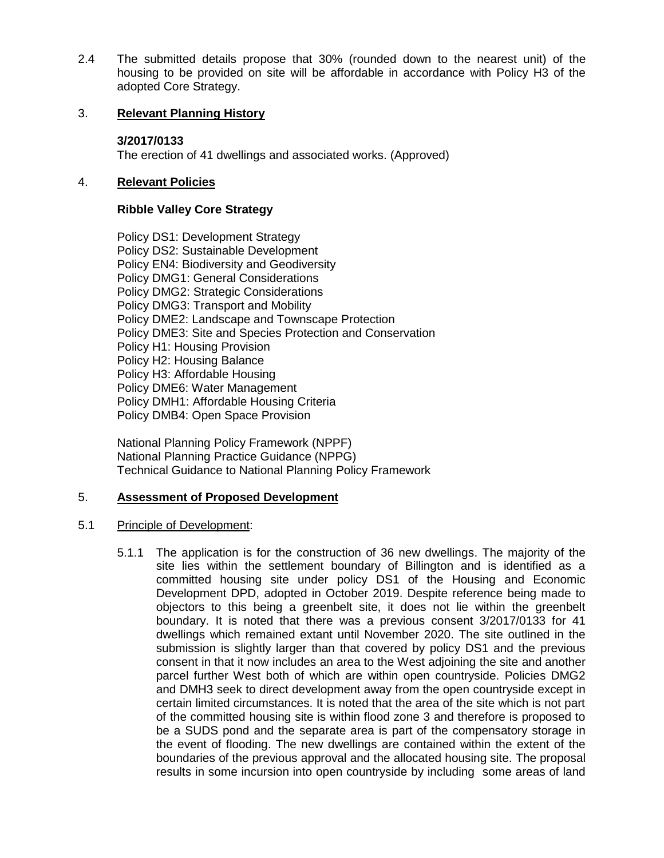2.4 The submitted details propose that 30% (rounded down to the nearest unit) of the housing to be provided on site will be affordable in accordance with Policy H3 of the adopted Core Strategy.

## 3. **Relevant Planning History**

## **3/2017/0133**

The erection of 41 dwellings and associated works. (Approved)

## 4. **Relevant Policies**

## **Ribble Valley Core Strategy**

Policy DS1: Development Strategy Policy DS2: Sustainable Development Policy EN4: Biodiversity and Geodiversity Policy DMG1: General Considerations Policy DMG2: Strategic Considerations Policy DMG3: Transport and Mobility Policy DME2: Landscape and Townscape Protection Policy DME3: Site and Species Protection and Conservation Policy H1: Housing Provision Policy H2: Housing Balance Policy H3: Affordable Housing Policy DME6: Water Management Policy DMH1: Affordable Housing Criteria Policy DMB4: Open Space Provision

National Planning Policy Framework (NPPF) National Planning Practice Guidance (NPPG) Technical Guidance to National Planning Policy Framework

# 5. **Assessment of Proposed Development**

## 5.1 Principle of Development:

5.1.1 The application is for the construction of 36 new dwellings. The majority of the site lies within the settlement boundary of Billington and is identified as a committed housing site under policy DS1 of the Housing and Economic Development DPD, adopted in October 2019. Despite reference being made to objectors to this being a greenbelt site, it does not lie within the greenbelt boundary. It is noted that there was a previous consent 3/2017/0133 for 41 dwellings which remained extant until November 2020. The site outlined in the submission is slightly larger than that covered by policy DS1 and the previous consent in that it now includes an area to the West adjoining the site and another parcel further West both of which are within open countryside. Policies DMG2 and DMH3 seek to direct development away from the open countryside except in certain limited circumstances. It is noted that the area of the site which is not part of the committed housing site is within flood zone 3 and therefore is proposed to be a SUDS pond and the separate area is part of the compensatory storage in the event of flooding. The new dwellings are contained within the extent of the boundaries of the previous approval and the allocated housing site. The proposal results in some incursion into open countryside by including some areas of land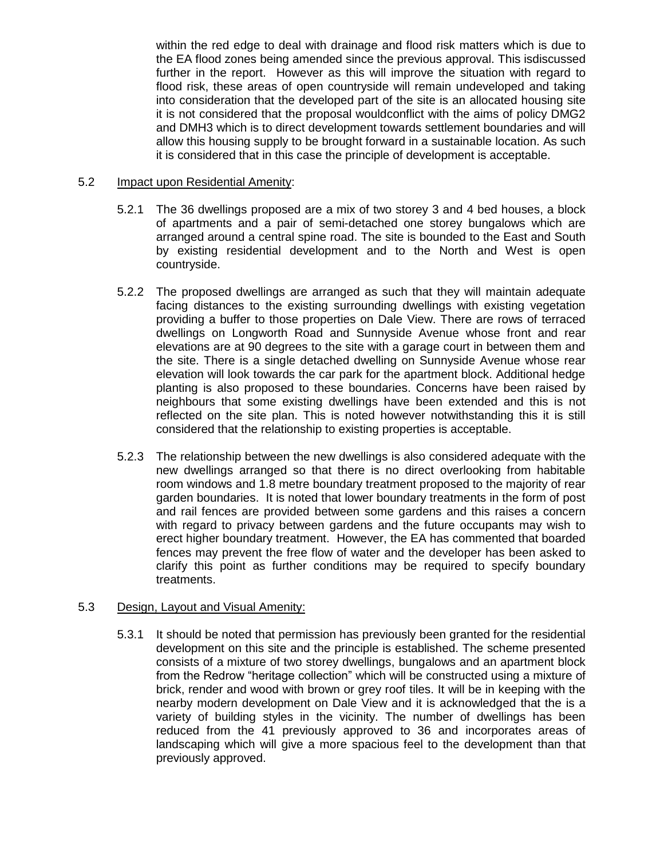within the red edge to deal with drainage and flood risk matters which is due to the EA flood zones being amended since the previous approval. This isdiscussed further in the report. However as this will improve the situation with regard to flood risk, these areas of open countryside will remain undeveloped and taking into consideration that the developed part of the site is an allocated housing site it is not considered that the proposal wouldconflict with the aims of policy DMG2 and DMH3 which is to direct development towards settlement boundaries and will allow this housing supply to be brought forward in a sustainable location. As such it is considered that in this case the principle of development is acceptable.

## 5.2 Impact upon Residential Amenity:

- 5.2.1 The 36 dwellings proposed are a mix of two storey 3 and 4 bed houses, a block of apartments and a pair of semi-detached one storey bungalows which are arranged around a central spine road. The site is bounded to the East and South by existing residential development and to the North and West is open countryside.
- 5.2.2 The proposed dwellings are arranged as such that they will maintain adequate facing distances to the existing surrounding dwellings with existing vegetation providing a buffer to those properties on Dale View. There are rows of terraced dwellings on Longworth Road and Sunnyside Avenue whose front and rear elevations are at 90 degrees to the site with a garage court in between them and the site. There is a single detached dwelling on Sunnyside Avenue whose rear elevation will look towards the car park for the apartment block. Additional hedge planting is also proposed to these boundaries. Concerns have been raised by neighbours that some existing dwellings have been extended and this is not reflected on the site plan. This is noted however notwithstanding this it is still considered that the relationship to existing properties is acceptable.
- 5.2.3 The relationship between the new dwellings is also considered adequate with the new dwellings arranged so that there is no direct overlooking from habitable room windows and 1.8 metre boundary treatment proposed to the majority of rear garden boundaries. It is noted that lower boundary treatments in the form of post and rail fences are provided between some gardens and this raises a concern with regard to privacy between gardens and the future occupants may wish to erect higher boundary treatment. However, the EA has commented that boarded fences may prevent the free flow of water and the developer has been asked to clarify this point as further conditions may be required to specify boundary treatments.

### 5.3 Design, Layout and Visual Amenity:

5.3.1 It should be noted that permission has previously been granted for the residential development on this site and the principle is established. The scheme presented consists of a mixture of two storey dwellings, bungalows and an apartment block from the Redrow "heritage collection" which will be constructed using a mixture of brick, render and wood with brown or grey roof tiles. It will be in keeping with the nearby modern development on Dale View and it is acknowledged that the is a variety of building styles in the vicinity. The number of dwellings has been reduced from the 41 previously approved to 36 and incorporates areas of landscaping which will give a more spacious feel to the development than that previously approved.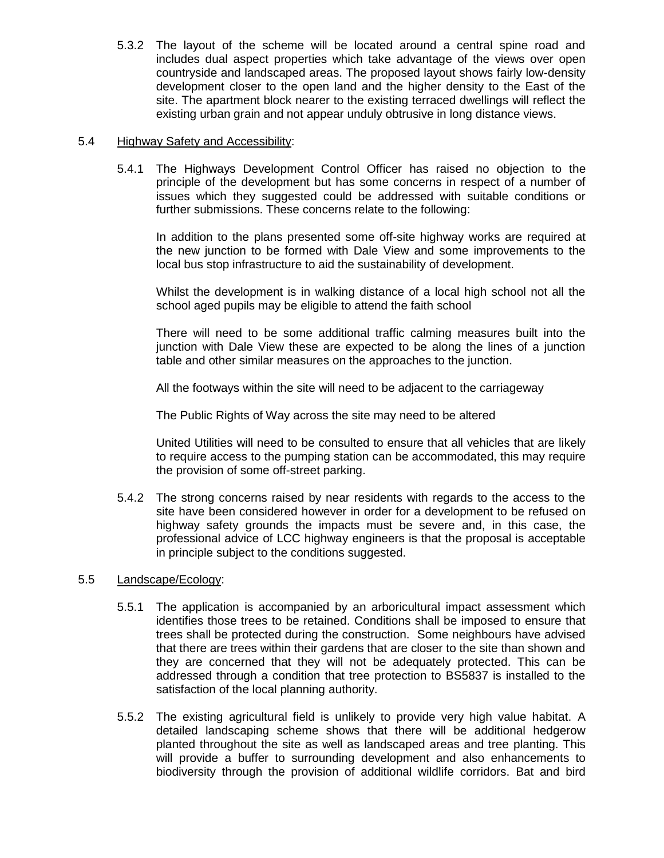5.3.2 The layout of the scheme will be located around a central spine road and includes dual aspect properties which take advantage of the views over open countryside and landscaped areas. The proposed layout shows fairly low-density development closer to the open land and the higher density to the East of the site. The apartment block nearer to the existing terraced dwellings will reflect the existing urban grain and not appear unduly obtrusive in long distance views.

## 5.4 Highway Safety and Accessibility:

5.4.1 The Highways Development Control Officer has raised no objection to the principle of the development but has some concerns in respect of a number of issues which they suggested could be addressed with suitable conditions or further submissions. These concerns relate to the following:

In addition to the plans presented some off-site highway works are required at the new junction to be formed with Dale View and some improvements to the local bus stop infrastructure to aid the sustainability of development.

Whilst the development is in walking distance of a local high school not all the school aged pupils may be eligible to attend the faith school

There will need to be some additional traffic calming measures built into the junction with Dale View these are expected to be along the lines of a junction table and other similar measures on the approaches to the junction.

All the footways within the site will need to be adjacent to the carriageway

The Public Rights of Way across the site may need to be altered

United Utilities will need to be consulted to ensure that all vehicles that are likely to require access to the pumping station can be accommodated, this may require the provision of some off-street parking.

5.4.2 The strong concerns raised by near residents with regards to the access to the site have been considered however in order for a development to be refused on highway safety grounds the impacts must be severe and, in this case, the professional advice of LCC highway engineers is that the proposal is acceptable in principle subject to the conditions suggested.

# 5.5 Landscape/Ecology:

- 5.5.1 The application is accompanied by an arboricultural impact assessment which identifies those trees to be retained. Conditions shall be imposed to ensure that trees shall be protected during the construction. Some neighbours have advised that there are trees within their gardens that are closer to the site than shown and they are concerned that they will not be adequately protected. This can be addressed through a condition that tree protection to BS5837 is installed to the satisfaction of the local planning authority.
- 5.5.2 The existing agricultural field is unlikely to provide very high value habitat. A detailed landscaping scheme shows that there will be additional hedgerow planted throughout the site as well as landscaped areas and tree planting. This will provide a buffer to surrounding development and also enhancements to biodiversity through the provision of additional wildlife corridors. Bat and bird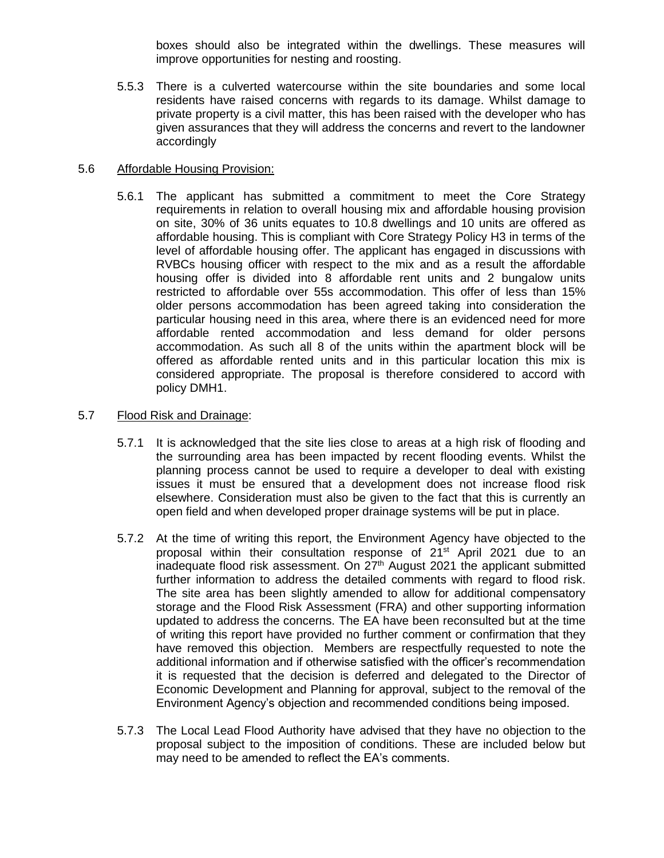boxes should also be integrated within the dwellings. These measures will improve opportunities for nesting and roosting.

5.5.3 There is a culverted watercourse within the site boundaries and some local residents have raised concerns with regards to its damage. Whilst damage to private property is a civil matter, this has been raised with the developer who has given assurances that they will address the concerns and revert to the landowner accordingly

## 5.6 Affordable Housing Provision:

5.6.1 The applicant has submitted a commitment to meet the Core Strategy requirements in relation to overall housing mix and affordable housing provision on site, 30% of 36 units equates to 10.8 dwellings and 10 units are offered as affordable housing. This is compliant with Core Strategy Policy H3 in terms of the level of affordable housing offer. The applicant has engaged in discussions with RVBCs housing officer with respect to the mix and as a result the affordable housing offer is divided into 8 affordable rent units and 2 bungalow units restricted to affordable over 55s accommodation. This offer of less than 15% older persons accommodation has been agreed taking into consideration the particular housing need in this area, where there is an evidenced need for more affordable rented accommodation and less demand for older persons accommodation. As such all 8 of the units within the apartment block will be offered as affordable rented units and in this particular location this mix is considered appropriate. The proposal is therefore considered to accord with policy DMH1.

## 5.7 Flood Risk and Drainage:

- 5.7.1 It is acknowledged that the site lies close to areas at a high risk of flooding and the surrounding area has been impacted by recent flooding events. Whilst the planning process cannot be used to require a developer to deal with existing issues it must be ensured that a development does not increase flood risk elsewhere. Consideration must also be given to the fact that this is currently an open field and when developed proper drainage systems will be put in place.
- 5.7.2 At the time of writing this report, the Environment Agency have objected to the proposal within their consultation response of 21<sup>st</sup> April 2021 due to an inadequate flood risk assessment. On 27<sup>th</sup> August 2021 the applicant submitted further information to address the detailed comments with regard to flood risk. The site area has been slightly amended to allow for additional compensatory storage and the Flood Risk Assessment (FRA) and other supporting information updated to address the concerns. The EA have been reconsulted but at the time of writing this report have provided no further comment or confirmation that they have removed this objection. Members are respectfully requested to note the additional information and if otherwise satisfied with the officer's recommendation it is requested that the decision is deferred and delegated to the Director of Economic Development and Planning for approval, subject to the removal of the Environment Agency's objection and recommended conditions being imposed.
- 5.7.3 The Local Lead Flood Authority have advised that they have no objection to the proposal subject to the imposition of conditions. These are included below but may need to be amended to reflect the EA's comments.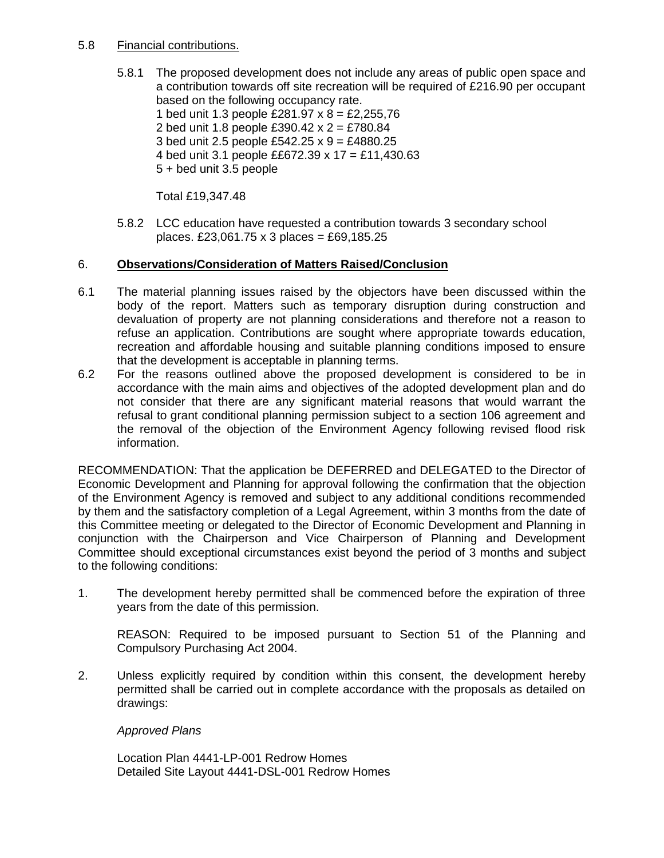## 5.8 Financial contributions.

5.8.1 The proposed development does not include any areas of public open space and a contribution towards off site recreation will be required of £216.90 per occupant based on the following occupancy rate.

1 bed unit 1.3 people  $\text{\pounds}281.97 \times 8 = \text{\pounds}2,255,76$ 2 bed unit 1.8 people £390.42 x 2 = £780.84 3 bed unit 2.5 people £542.25 x 9 = £4880.25 4 bed unit 3.1 people ££672.39 x 17 = £11,430.63 5 + bed unit 3.5 people

Total £19,347.48

5.8.2 LCC education have requested a contribution towards 3 secondary school places. £23,061.75 x 3 places = £69,185.25

# 6. **Observations/Consideration of Matters Raised/Conclusion**

- 6.1 The material planning issues raised by the objectors have been discussed within the body of the report. Matters such as temporary disruption during construction and devaluation of property are not planning considerations and therefore not a reason to refuse an application. Contributions are sought where appropriate towards education, recreation and affordable housing and suitable planning conditions imposed to ensure that the development is acceptable in planning terms.
- 6.2 For the reasons outlined above the proposed development is considered to be in accordance with the main aims and objectives of the adopted development plan and do not consider that there are any significant material reasons that would warrant the refusal to grant conditional planning permission subject to a section 106 agreement and the removal of the objection of the Environment Agency following revised flood risk information.

RECOMMENDATION: That the application be DEFERRED and DELEGATED to the Director of Economic Development and Planning for approval following the confirmation that the objection of the Environment Agency is removed and subject to any additional conditions recommended by them and the satisfactory completion of a Legal Agreement, within 3 months from the date of this Committee meeting or delegated to the Director of Economic Development and Planning in conjunction with the Chairperson and Vice Chairperson of Planning and Development Committee should exceptional circumstances exist beyond the period of 3 months and subject to the following conditions:

1. The development hereby permitted shall be commenced before the expiration of three years from the date of this permission.

REASON: Required to be imposed pursuant to Section 51 of the Planning and Compulsory Purchasing Act 2004.

2. Unless explicitly required by condition within this consent, the development hereby permitted shall be carried out in complete accordance with the proposals as detailed on drawings:

# *Approved Plans*

Location Plan 4441-LP-001 Redrow Homes Detailed Site Layout 4441-DSL-001 Redrow Homes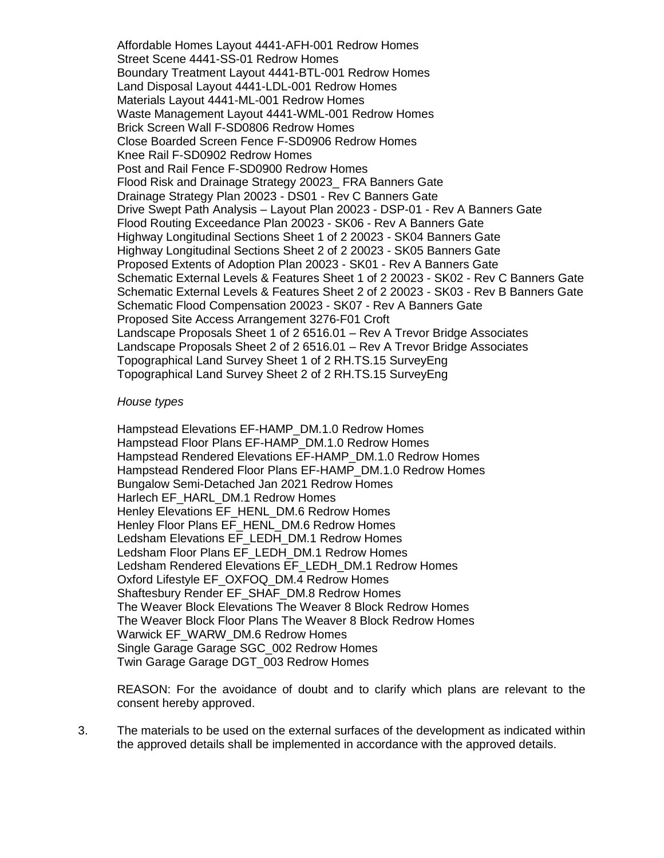Affordable Homes Layout 4441-AFH-001 Redrow Homes Street Scene 4441-SS-01 Redrow Homes Boundary Treatment Layout 4441-BTL-001 Redrow Homes Land Disposal Layout 4441-LDL-001 Redrow Homes Materials Layout 4441-ML-001 Redrow Homes Waste Management Layout 4441-WML-001 Redrow Homes Brick Screen Wall F-SD0806 Redrow Homes Close Boarded Screen Fence F-SD0906 Redrow Homes Knee Rail F-SD0902 Redrow Homes Post and Rail Fence F-SD0900 Redrow Homes Flood Risk and Drainage Strategy 20023\_ FRA Banners Gate Drainage Strategy Plan 20023 - DS01 - Rev C Banners Gate Drive Swept Path Analysis – Layout Plan 20023 - DSP-01 - Rev A Banners Gate Flood Routing Exceedance Plan 20023 - SK06 - Rev A Banners Gate Highway Longitudinal Sections Sheet 1 of 2 20023 - SK04 Banners Gate Highway Longitudinal Sections Sheet 2 of 2 20023 - SK05 Banners Gate Proposed Extents of Adoption Plan 20023 - SK01 - Rev A Banners Gate Schematic External Levels & Features Sheet 1 of 2 20023 - SK02 - Rev C Banners Gate Schematic External Levels & Features Sheet 2 of 2 20023 - SK03 - Rev B Banners Gate Schematic Flood Compensation 20023 - SK07 - Rev A Banners Gate Proposed Site Access Arrangement 3276-F01 Croft Landscape Proposals Sheet 1 of 2 6516.01 – Rev A Trevor Bridge Associates Landscape Proposals Sheet 2 of 2 6516.01 – Rev A Trevor Bridge Associates Topographical Land Survey Sheet 1 of 2 RH.TS.15 SurveyEng Topographical Land Survey Sheet 2 of 2 RH.TS.15 SurveyEng

#### *House types*

Hampstead Elevations EF-HAMP\_DM.1.0 Redrow Homes Hampstead Floor Plans EF-HAMP\_DM.1.0 Redrow Homes Hampstead Rendered Elevations EF-HAMP\_DM.1.0 Redrow Homes Hampstead Rendered Floor Plans EF-HAMP\_DM.1.0 Redrow Homes Bungalow Semi-Detached Jan 2021 Redrow Homes Harlech EF\_HARL\_DM.1 Redrow Homes Henley Elevations EF\_HENL\_DM.6 Redrow Homes Henley Floor Plans EF\_HENL\_DM.6 Redrow Homes Ledsham Elevations EF\_LEDH\_DM.1 Redrow Homes Ledsham Floor Plans EF\_LEDH\_DM.1 Redrow Homes Ledsham Rendered Elevations EF\_LEDH\_DM.1 Redrow Homes Oxford Lifestyle EF\_OXFOQ\_DM.4 Redrow Homes Shaftesbury Render EF\_SHAF\_DM.8 Redrow Homes The Weaver Block Elevations The Weaver 8 Block Redrow Homes The Weaver Block Floor Plans The Weaver 8 Block Redrow Homes Warwick EF\_WARW\_DM.6 Redrow Homes Single Garage Garage SGC\_002 Redrow Homes Twin Garage Garage DGT\_003 Redrow Homes

REASON: For the avoidance of doubt and to clarify which plans are relevant to the consent hereby approved.

3. The materials to be used on the external surfaces of the development as indicated within the approved details shall be implemented in accordance with the approved details.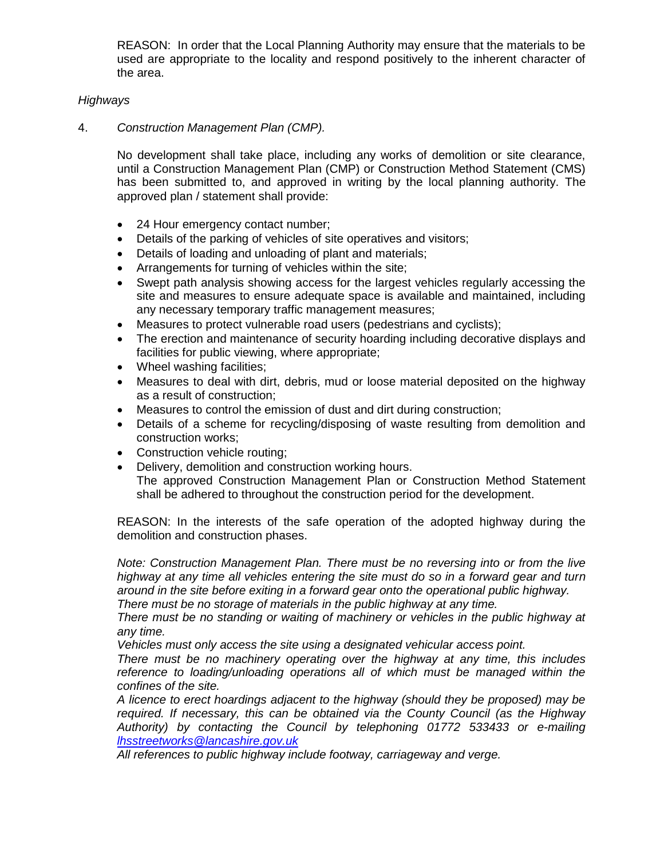REASON: In order that the Local Planning Authority may ensure that the materials to be used are appropriate to the locality and respond positively to the inherent character of the area.

## *Highways*

4. *Construction Management Plan (CMP).*

No development shall take place, including any works of demolition or site clearance, until a Construction Management Plan (CMP) or Construction Method Statement (CMS) has been submitted to, and approved in writing by the local planning authority. The approved plan / statement shall provide:

- 24 Hour emergency contact number;
- Details of the parking of vehicles of site operatives and visitors;
- Details of loading and unloading of plant and materials;
- Arrangements for turning of vehicles within the site;
- Swept path analysis showing access for the largest vehicles regularly accessing the site and measures to ensure adequate space is available and maintained, including any necessary temporary traffic management measures;
- Measures to protect vulnerable road users (pedestrians and cyclists);
- The erection and maintenance of security hoarding including decorative displays and facilities for public viewing, where appropriate;
- Wheel washing facilities;
- Measures to deal with dirt, debris, mud or loose material deposited on the highway as a result of construction;
- Measures to control the emission of dust and dirt during construction;
- Details of a scheme for recycling/disposing of waste resulting from demolition and construction works;
- Construction vehicle routing;
- Delivery, demolition and construction working hours.
	- The approved Construction Management Plan or Construction Method Statement shall be adhered to throughout the construction period for the development.

REASON: In the interests of the safe operation of the adopted highway during the demolition and construction phases.

*Note: Construction Management Plan. There must be no reversing into or from the live highway at any time all vehicles entering the site must do so in a forward gear and turn around in the site before exiting in a forward gear onto the operational public highway. There must be no storage of materials in the public highway at any time.* 

*There must be no standing or waiting of machinery or vehicles in the public highway at any time.* 

*Vehicles must only access the site using a designated vehicular access point.* 

*There must be no machinery operating over the highway at any time, this includes*  reference to loading/unloading operations all of which must be managed within the *confines of the site.* 

*A licence to erect hoardings adjacent to the highway (should they be proposed) may be required. If necessary, this can be obtained via the County Council (as the Highway Authority) by contacting the Council by telephoning 01772 533433 or e-mailing [lhsstreetworks@lancashire.gov.uk](mailto:lhsstreetworks@lancashire.gov.uk)*

*All references to public highway include footway, carriageway and verge.*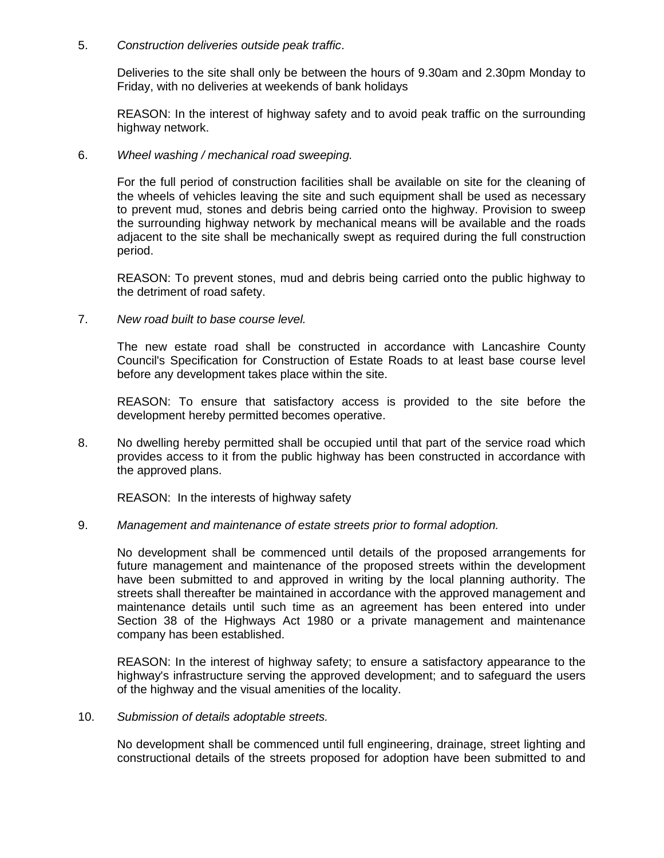## 5. *Construction deliveries outside peak traffic*.

Deliveries to the site shall only be between the hours of 9.30am and 2.30pm Monday to Friday, with no deliveries at weekends of bank holidays

REASON: In the interest of highway safety and to avoid peak traffic on the surrounding highway network.

## 6. *Wheel washing / mechanical road sweeping.*

For the full period of construction facilities shall be available on site for the cleaning of the wheels of vehicles leaving the site and such equipment shall be used as necessary to prevent mud, stones and debris being carried onto the highway. Provision to sweep the surrounding highway network by mechanical means will be available and the roads adjacent to the site shall be mechanically swept as required during the full construction period.

REASON: To prevent stones, mud and debris being carried onto the public highway to the detriment of road safety.

### 7. *New road built to base course level.*

The new estate road shall be constructed in accordance with Lancashire County Council's Specification for Construction of Estate Roads to at least base course level before any development takes place within the site.

REASON: To ensure that satisfactory access is provided to the site before the development hereby permitted becomes operative.

8. No dwelling hereby permitted shall be occupied until that part of the service road which provides access to it from the public highway has been constructed in accordance with the approved plans.

REASON: In the interests of highway safety

### 9. *Management and maintenance of estate streets prior to formal adoption.*

No development shall be commenced until details of the proposed arrangements for future management and maintenance of the proposed streets within the development have been submitted to and approved in writing by the local planning authority. The streets shall thereafter be maintained in accordance with the approved management and maintenance details until such time as an agreement has been entered into under Section 38 of the Highways Act 1980 or a private management and maintenance company has been established.

REASON: In the interest of highway safety; to ensure a satisfactory appearance to the highway's infrastructure serving the approved development; and to safeguard the users of the highway and the visual amenities of the locality.

### 10. *Submission of details adoptable streets.*

No development shall be commenced until full engineering, drainage, street lighting and constructional details of the streets proposed for adoption have been submitted to and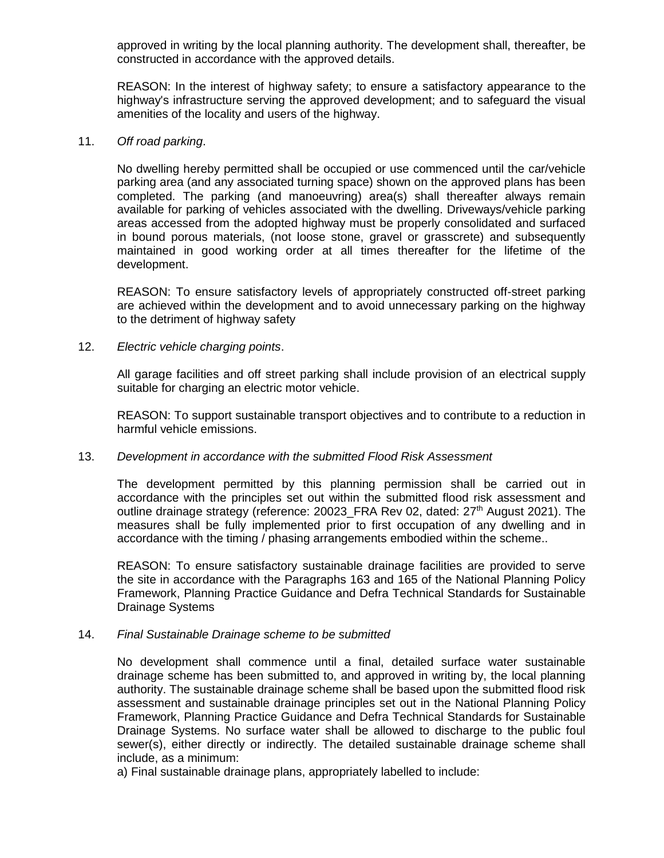approved in writing by the local planning authority. The development shall, thereafter, be constructed in accordance with the approved details.

REASON: In the interest of highway safety; to ensure a satisfactory appearance to the highway's infrastructure serving the approved development; and to safeguard the visual amenities of the locality and users of the highway.

### 11. *Off road parking*.

No dwelling hereby permitted shall be occupied or use commenced until the car/vehicle parking area (and any associated turning space) shown on the approved plans has been completed. The parking (and manoeuvring) area(s) shall thereafter always remain available for parking of vehicles associated with the dwelling. Driveways/vehicle parking areas accessed from the adopted highway must be properly consolidated and surfaced in bound porous materials, (not loose stone, gravel or grasscrete) and subsequently maintained in good working order at all times thereafter for the lifetime of the development.

REASON: To ensure satisfactory levels of appropriately constructed off-street parking are achieved within the development and to avoid unnecessary parking on the highway to the detriment of highway safety

### 12. *Electric vehicle charging points*.

All garage facilities and off street parking shall include provision of an electrical supply suitable for charging an electric motor vehicle.

REASON: To support sustainable transport objectives and to contribute to a reduction in harmful vehicle emissions.

### 13. *Development in accordance with the submitted Flood Risk Assessment*

The development permitted by this planning permission shall be carried out in accordance with the principles set out within the submitted flood risk assessment and outline drainage strategy (reference: 20023 FRA Rev 02, dated: 27<sup>th</sup> August 2021). The measures shall be fully implemented prior to first occupation of any dwelling and in accordance with the timing / phasing arrangements embodied within the scheme..

REASON: To ensure satisfactory sustainable drainage facilities are provided to serve the site in accordance with the Paragraphs 163 and 165 of the National Planning Policy Framework, Planning Practice Guidance and Defra Technical Standards for Sustainable Drainage Systems

### 14. *Final Sustainable Drainage scheme to be submitted*

No development shall commence until a final, detailed surface water sustainable drainage scheme has been submitted to, and approved in writing by, the local planning authority. The sustainable drainage scheme shall be based upon the submitted flood risk assessment and sustainable drainage principles set out in the National Planning Policy Framework, Planning Practice Guidance and Defra Technical Standards for Sustainable Drainage Systems. No surface water shall be allowed to discharge to the public foul sewer(s), either directly or indirectly. The detailed sustainable drainage scheme shall include, as a minimum:

a) Final sustainable drainage plans, appropriately labelled to include: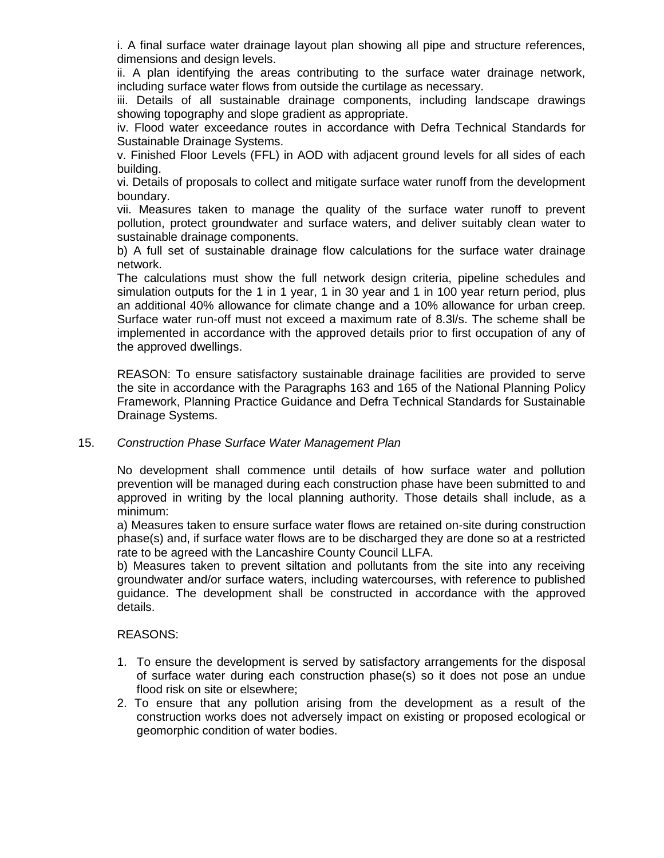i. A final surface water drainage layout plan showing all pipe and structure references, dimensions and design levels.

ii. A plan identifying the areas contributing to the surface water drainage network, including surface water flows from outside the curtilage as necessary.

iii. Details of all sustainable drainage components, including landscape drawings showing topography and slope gradient as appropriate.

iv. Flood water exceedance routes in accordance with Defra Technical Standards for Sustainable Drainage Systems.

v. Finished Floor Levels (FFL) in AOD with adjacent ground levels for all sides of each building.

vi. Details of proposals to collect and mitigate surface water runoff from the development boundary.

vii. Measures taken to manage the quality of the surface water runoff to prevent pollution, protect groundwater and surface waters, and deliver suitably clean water to sustainable drainage components.

b) A full set of sustainable drainage flow calculations for the surface water drainage network.

The calculations must show the full network design criteria, pipeline schedules and simulation outputs for the 1 in 1 year, 1 in 30 year and 1 in 100 year return period, plus an additional 40% allowance for climate change and a 10% allowance for urban creep. Surface water run-off must not exceed a maximum rate of 8.3l/s. The scheme shall be implemented in accordance with the approved details prior to first occupation of any of the approved dwellings.

REASON: To ensure satisfactory sustainable drainage facilities are provided to serve the site in accordance with the Paragraphs 163 and 165 of the National Planning Policy Framework, Planning Practice Guidance and Defra Technical Standards for Sustainable Drainage Systems.

### 15. *Construction Phase Surface Water Management Plan*

No development shall commence until details of how surface water and pollution prevention will be managed during each construction phase have been submitted to and approved in writing by the local planning authority. Those details shall include, as a minimum:

a) Measures taken to ensure surface water flows are retained on-site during construction phase(s) and, if surface water flows are to be discharged they are done so at a restricted rate to be agreed with the Lancashire County Council LLFA.

b) Measures taken to prevent siltation and pollutants from the site into any receiving groundwater and/or surface waters, including watercourses, with reference to published guidance. The development shall be constructed in accordance with the approved details.

### REASONS:

- 1. To ensure the development is served by satisfactory arrangements for the disposal of surface water during each construction phase(s) so it does not pose an undue flood risk on site or elsewhere;
- 2. To ensure that any pollution arising from the development as a result of the construction works does not adversely impact on existing or proposed ecological or geomorphic condition of water bodies.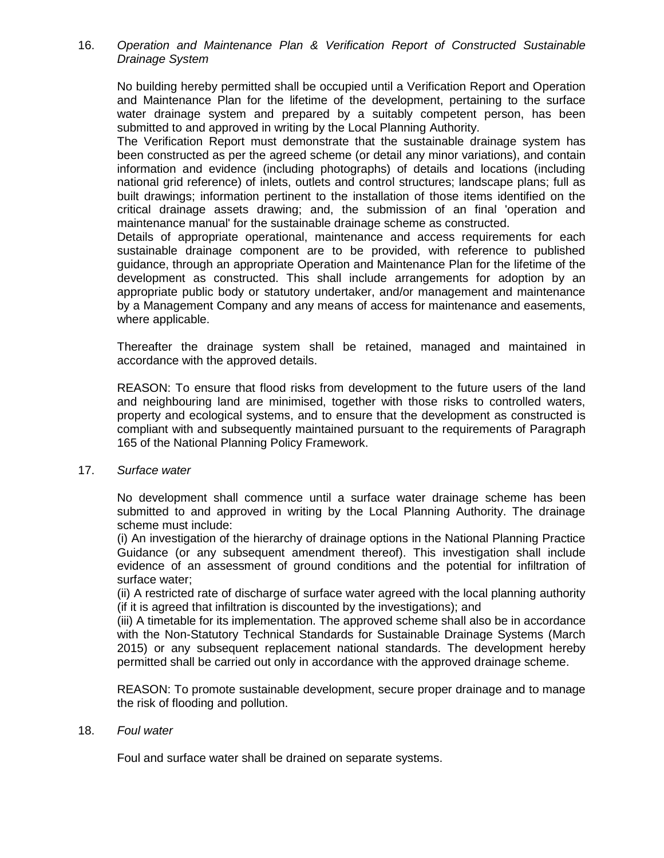16. *Operation and Maintenance Plan & Verification Report of Constructed Sustainable Drainage System*

No building hereby permitted shall be occupied until a Verification Report and Operation and Maintenance Plan for the lifetime of the development, pertaining to the surface water drainage system and prepared by a suitably competent person, has been submitted to and approved in writing by the Local Planning Authority.

The Verification Report must demonstrate that the sustainable drainage system has been constructed as per the agreed scheme (or detail any minor variations), and contain information and evidence (including photographs) of details and locations (including national grid reference) of inlets, outlets and control structures; landscape plans; full as built drawings; information pertinent to the installation of those items identified on the critical drainage assets drawing; and, the submission of an final 'operation and maintenance manual' for the sustainable drainage scheme as constructed.

Details of appropriate operational, maintenance and access requirements for each sustainable drainage component are to be provided, with reference to published guidance, through an appropriate Operation and Maintenance Plan for the lifetime of the development as constructed. This shall include arrangements for adoption by an appropriate public body or statutory undertaker, and/or management and maintenance by a Management Company and any means of access for maintenance and easements, where applicable.

Thereafter the drainage system shall be retained, managed and maintained in accordance with the approved details.

REASON: To ensure that flood risks from development to the future users of the land and neighbouring land are minimised, together with those risks to controlled waters, property and ecological systems, and to ensure that the development as constructed is compliant with and subsequently maintained pursuant to the requirements of Paragraph 165 of the National Planning Policy Framework.

17. *Surface water*

No development shall commence until a surface water drainage scheme has been submitted to and approved in writing by the Local Planning Authority. The drainage scheme must include:

(i) An investigation of the hierarchy of drainage options in the National Planning Practice Guidance (or any subsequent amendment thereof). This investigation shall include evidence of an assessment of ground conditions and the potential for infiltration of surface water;

(ii) A restricted rate of discharge of surface water agreed with the local planning authority (if it is agreed that infiltration is discounted by the investigations); and

(iii) A timetable for its implementation. The approved scheme shall also be in accordance with the Non-Statutory Technical Standards for Sustainable Drainage Systems (March 2015) or any subsequent replacement national standards. The development hereby permitted shall be carried out only in accordance with the approved drainage scheme.

REASON: To promote sustainable development, secure proper drainage and to manage the risk of flooding and pollution.

### 18. *Foul water*

Foul and surface water shall be drained on separate systems.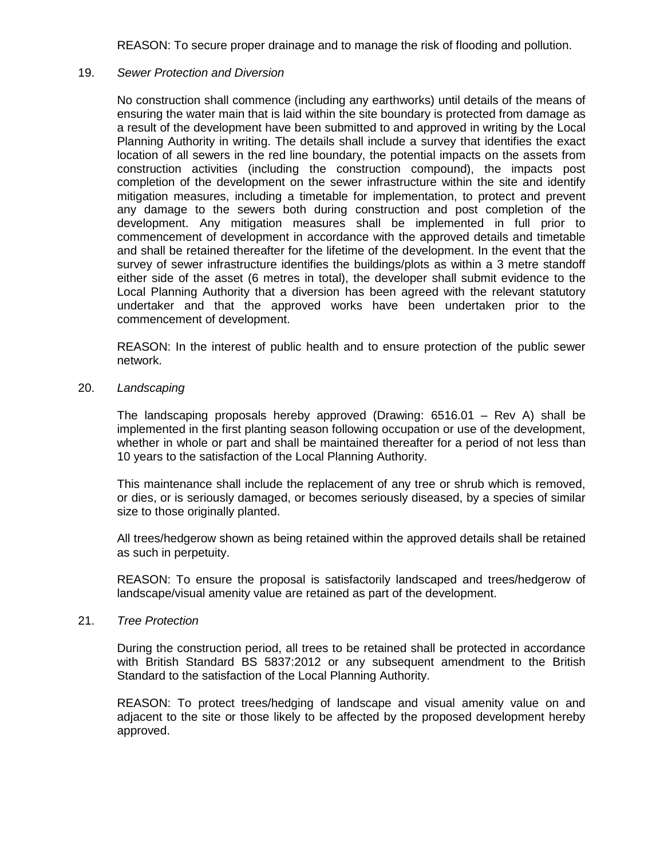REASON: To secure proper drainage and to manage the risk of flooding and pollution.

### 19. *Sewer Protection and Diversion*

No construction shall commence (including any earthworks) until details of the means of ensuring the water main that is laid within the site boundary is protected from damage as a result of the development have been submitted to and approved in writing by the Local Planning Authority in writing. The details shall include a survey that identifies the exact location of all sewers in the red line boundary, the potential impacts on the assets from construction activities (including the construction compound), the impacts post completion of the development on the sewer infrastructure within the site and identify mitigation measures, including a timetable for implementation, to protect and prevent any damage to the sewers both during construction and post completion of the development. Any mitigation measures shall be implemented in full prior to commencement of development in accordance with the approved details and timetable and shall be retained thereafter for the lifetime of the development. In the event that the survey of sewer infrastructure identifies the buildings/plots as within a 3 metre standoff either side of the asset (6 metres in total), the developer shall submit evidence to the Local Planning Authority that a diversion has been agreed with the relevant statutory undertaker and that the approved works have been undertaken prior to the commencement of development.

REASON: In the interest of public health and to ensure protection of the public sewer network.

20. *Landscaping*

The landscaping proposals hereby approved (Drawing: 6516.01 – Rev A) shall be implemented in the first planting season following occupation or use of the development, whether in whole or part and shall be maintained thereafter for a period of not less than 10 years to the satisfaction of the Local Planning Authority.

This maintenance shall include the replacement of any tree or shrub which is removed, or dies, or is seriously damaged, or becomes seriously diseased, by a species of similar size to those originally planted.

All trees/hedgerow shown as being retained within the approved details shall be retained as such in perpetuity.

REASON: To ensure the proposal is satisfactorily landscaped and trees/hedgerow of landscape/visual amenity value are retained as part of the development.

21. *Tree Protection*

During the construction period, all trees to be retained shall be protected in accordance with British Standard BS 5837:2012 or any subsequent amendment to the British Standard to the satisfaction of the Local Planning Authority.

REASON: To protect trees/hedging of landscape and visual amenity value on and adjacent to the site or those likely to be affected by the proposed development hereby approved.